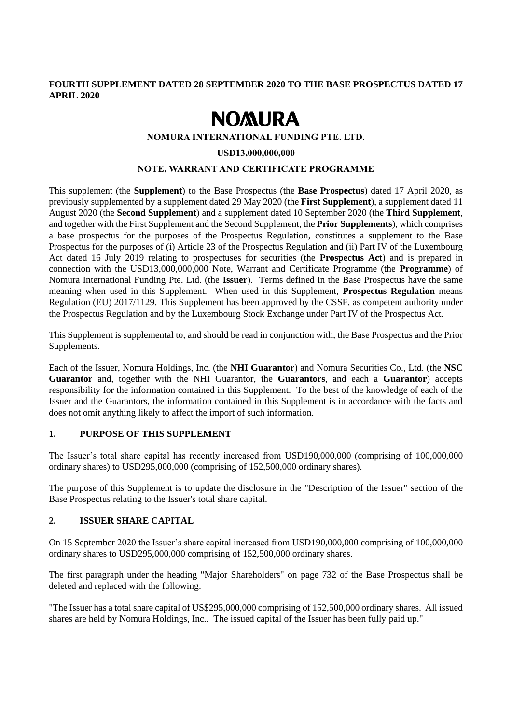# **FOURTH SUPPLEMENT DATED 28 SEPTEMBER 2020 TO THE BASE PROSPECTUS DATED 17 APRIL 2020**

# **NOMURA**

### **NOMURA INTERNATIONAL FUNDING PTE. LTD.**

#### **USD13,000,000,000**

#### **NOTE, WARRANT AND CERTIFICATE PROGRAMME**

This supplement (the **Supplement**) to the Base Prospectus (the **Base Prospectus**) dated 17 April 2020, as previously supplemented by a supplement dated 29 May 2020 (the **First Supplement**), a supplement dated 11 August 2020 (the **Second Supplement**) and a supplement dated 10 September 2020 (the **Third Supplement**, and together with the First Supplement and the Second Supplement, the **Prior Supplements**), which comprises a base prospectus for the purposes of the Prospectus Regulation, constitutes a supplement to the Base Prospectus for the purposes of (i) Article 23 of the Prospectus Regulation and (ii) Part IV of the Luxembourg Act dated 16 July 2019 relating to prospectuses for securities (the **Prospectus Act**) and is prepared in connection with the USD13,000,000,000 Note, Warrant and Certificate Programme (the **Programme**) of Nomura International Funding Pte. Ltd. (the **Issuer**). Terms defined in the Base Prospectus have the same meaning when used in this Supplement. When used in this Supplement, **Prospectus Regulation** means Regulation (EU) 2017/1129. This Supplement has been approved by the CSSF, as competent authority under the Prospectus Regulation and by the Luxembourg Stock Exchange under Part IV of the Prospectus Act.

This Supplement is supplemental to, and should be read in conjunction with, the Base Prospectus and the Prior Supplements.

Each of the Issuer, Nomura Holdings, Inc. (the **NHI Guarantor**) and Nomura Securities Co., Ltd. (the **NSC Guarantor** and, together with the NHI Guarantor, the **Guarantors**, and each a **Guarantor**) accepts responsibility for the information contained in this Supplement. To the best of the knowledge of each of the Issuer and the Guarantors, the information contained in this Supplement is in accordance with the facts and does not omit anything likely to affect the import of such information.

# **1. PURPOSE OF THIS SUPPLEMENT**

The Issuer's total share capital has recently increased from USD190,000,000 (comprising of 100,000,000 ordinary shares) to USD295,000,000 (comprising of 152,500,000 ordinary shares).

The purpose of this Supplement is to update the disclosure in the "Description of the Issuer" section of the Base Prospectus relating to the Issuer's total share capital.

#### **2. ISSUER SHARE CAPITAL**

On 15 September 2020 the Issuer's share capital increased from USD190,000,000 comprising of 100,000,000 ordinary shares to USD295,000,000 comprising of 152,500,000 ordinary shares.

The first paragraph under the heading "Major Shareholders" on page 732 of the Base Prospectus shall be deleted and replaced with the following:

"The Issuer has a total share capital of US\$295,000,000 comprising of 152,500,000 ordinary shares. All issued shares are held by Nomura Holdings, Inc.. The issued capital of the Issuer has been fully paid up."